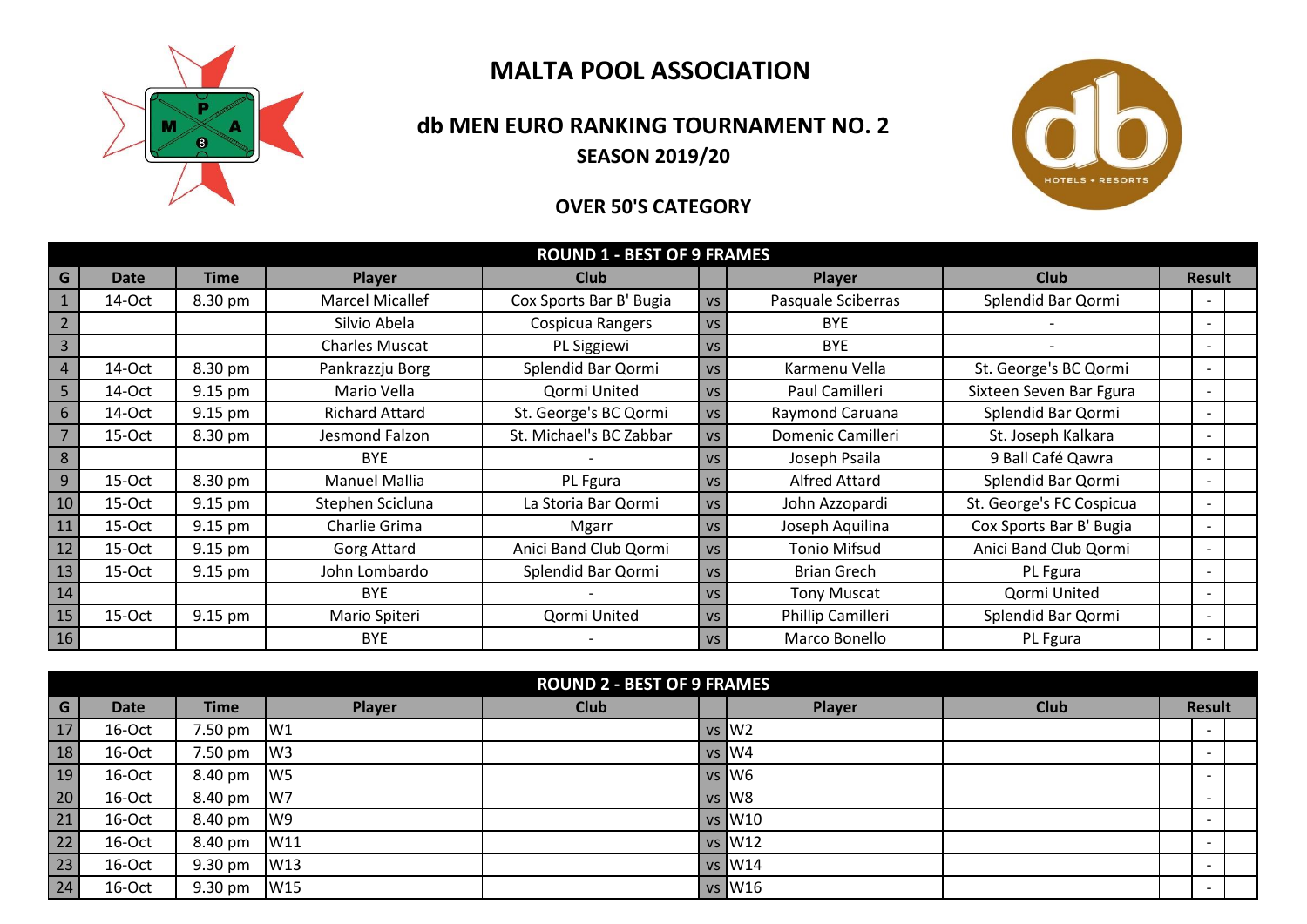

## **MALTA POOL ASSOCIATION**

## **db MEN EURO RANKING TOURNAMENT NO. 2 SEASON 2019/20**

## **OVER 50'S CATEGORY**



|                 | <b>ROUND 1 - BEST OF 9 FRAMES</b> |         |                        |                         |           |                      |                          |               |                          |  |  |  |
|-----------------|-----------------------------------|---------|------------------------|-------------------------|-----------|----------------------|--------------------------|---------------|--------------------------|--|--|--|
| G               | Date                              | Time    | <b>Player</b>          | <b>Club</b>             |           | <b>Player</b>        | <b>Club</b>              | <b>Result</b> |                          |  |  |  |
| $\mathbf{1}$    | 14-Oct                            | 8.30 pm | <b>Marcel Micallef</b> | Cox Sports Bar B' Bugia | <b>VS</b> | Pasquale Sciberras   | Splendid Bar Qormi       |               |                          |  |  |  |
| $\overline{2}$  |                                   |         | Silvio Abela           | Cospicua Rangers        | <b>VS</b> | <b>BYE</b>           |                          |               | $\overline{\phantom{0}}$ |  |  |  |
| $\overline{3}$  |                                   |         | <b>Charles Muscat</b>  | PL Siggiewi             | <b>VS</b> | <b>BYE</b>           |                          |               |                          |  |  |  |
| $\overline{4}$  | $14$ -Oct                         | 8.30 pm | Pankrazzju Borg        | Splendid Bar Qormi      | <b>VS</b> | Karmenu Vella        | St. George's BC Qormi    |               |                          |  |  |  |
| 5               | 14-Oct                            | 9.15 pm | Mario Vella            | Qormi United            | <b>VS</b> | Paul Camilleri       | Sixteen Seven Bar Fgura  |               | $\overline{\phantom{0}}$ |  |  |  |
| 6               | 14-Oct                            | 9.15 pm | <b>Richard Attard</b>  | St. George's BC Qormi   | <b>VS</b> | Raymond Caruana      | Splendid Bar Qormi       |               | $\overline{\phantom{0}}$ |  |  |  |
| $\overline{7}$  | $15-Oct$                          | 8.30 pm | Jesmond Falzon         | St. Michael's BC Zabbar | <b>VS</b> | Domenic Camilleri    | St. Joseph Kalkara       |               | $\overline{\phantom{0}}$ |  |  |  |
| 8               |                                   |         | <b>BYE</b>             |                         | <b>VS</b> | Joseph Psaila        | 9 Ball Café Qawra        |               |                          |  |  |  |
| 9               | 15-Oct                            | 8.30 pm | <b>Manuel Mallia</b>   | PL Fgura                | <b>VS</b> | <b>Alfred Attard</b> | Splendid Bar Qormi       |               | $\overline{\phantom{0}}$ |  |  |  |
| $\boxed{10}$    | 15-Oct                            | 9.15 pm | Stephen Scicluna       | La Storia Bar Qormi     | <b>VS</b> | John Azzopardi       | St. George's FC Cospicua |               |                          |  |  |  |
| 11              | $15-Oct$                          | 9.15 pm | Charlie Grima          | Mgarr                   | VS        | Joseph Aquilina      | Cox Sports Bar B' Bugia  |               |                          |  |  |  |
| $12$            | 15-Oct                            | 9.15 pm | Gorg Attard            | Anici Band Club Qormi   | <b>VS</b> | <b>Tonio Mifsud</b>  | Anici Band Club Qormi    |               |                          |  |  |  |
| 13              | $15-Oct$                          | 9.15 pm | John Lombardo          | Splendid Bar Qormi      | <b>VS</b> | <b>Brian Grech</b>   | PL Fgura                 |               | $\overline{\phantom{a}}$ |  |  |  |
| 14              |                                   |         | <b>BYE</b>             |                         | ٧S        | Tony Muscat          | Qormi United             |               | $\overline{\phantom{a}}$ |  |  |  |
| $\overline{15}$ | 15-Oct                            | 9.15 pm | Mario Spiteri          | Qormi United            | <b>VS</b> | Phillip Camilleri    | Splendid Bar Qormi       |               | $\overline{\phantom{0}}$ |  |  |  |
| <b>16</b>       |                                   |         | <b>BYE</b>             |                         | <b>VS</b> | Marco Bonello        | PL Fgura                 |               | $\overline{\phantom{0}}$ |  |  |  |

| <b>ROUND 2 - BEST OF 9 FRAMES</b> |             |                   |                |             |  |                     |             |               |                          |  |  |  |
|-----------------------------------|-------------|-------------------|----------------|-------------|--|---------------------|-------------|---------------|--------------------------|--|--|--|
| G                                 | <b>Date</b> | <b>Time</b>       | Player         | <b>Club</b> |  | Player              | <b>Club</b> | <b>Result</b> |                          |  |  |  |
| 17 <sup>7</sup>                   | 16-Oct      | 7.50 pm           | W1             |             |  | $vs$ $W2$           |             |               | $\overline{\phantom{0}}$ |  |  |  |
| 18                                | $16$ -Oct   | 7.50 pm           | W <sub>3</sub> |             |  | $vs$ $W4$           |             |               |                          |  |  |  |
| 19                                | 16-Oct      | 8.40 pm           | W <sub>5</sub> |             |  | $vs$ W <sub>6</sub> |             |               |                          |  |  |  |
| 20                                | 16-Oct      | 8.40 pm           | W7             |             |  | $vs$ $W8$           |             |               |                          |  |  |  |
| 21                                | $16$ -Oct   | 8.40 pm           | W9             |             |  | $vs$ $W10$          |             |               |                          |  |  |  |
| 22                                | 16-Oct      | 8.40 pm           | W11            |             |  | $vs$ $W12$          |             |               |                          |  |  |  |
| 23                                | 16-Oct      | 9.30 pm           | W13            |             |  | $vs$ $W14$          |             |               |                          |  |  |  |
| 24                                | $16$ -Oct   | $9.30 \text{ pm}$ | W15            |             |  | $vs$ $W16$          |             |               |                          |  |  |  |